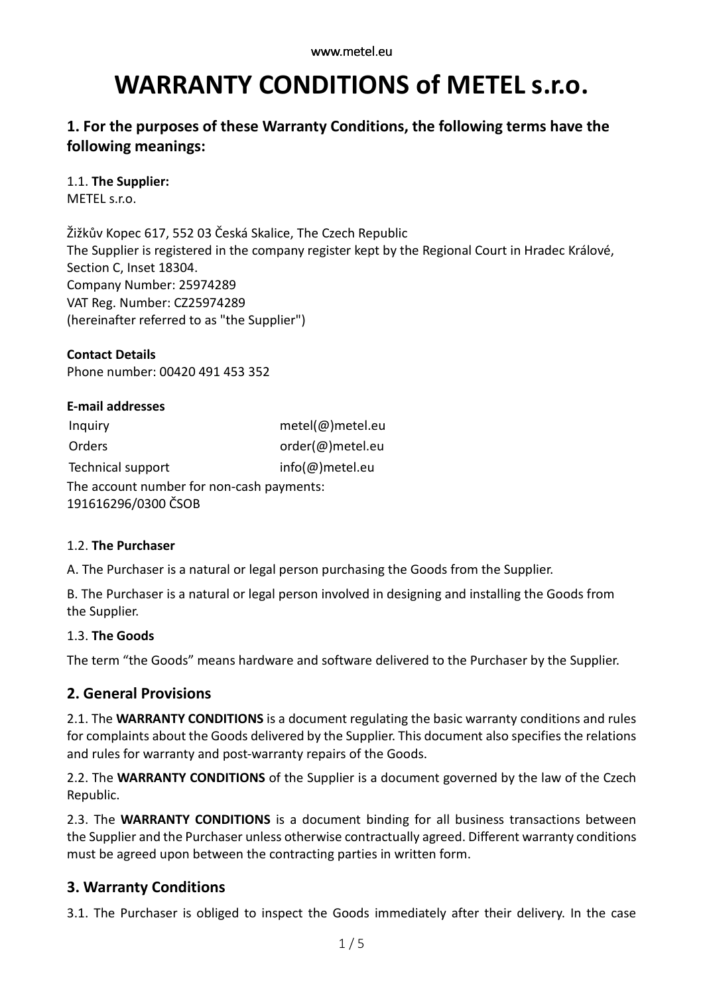# **WARRANTY CONDITIONS of METEL s.r.o.**

# **1. For the purposes of these Warranty Conditions, the following terms have the following meanings:**

## 1.1. **The Supplier:**

METEL s.r.o.

Žižkův Kopec 617, 552 03 Česká Skalice, The Czech Republic The Supplier is registered in the company register kept by the Regional Court in Hradec Králové, Section C, Inset 18304. Company Number: 25974289 VAT Reg. Number: CZ25974289 (hereinafter referred to as "the Supplier")

**Contact Details** Phone number: 00420 491 453 352

| <b>E-mail addresses</b>                   |                          |
|-------------------------------------------|--------------------------|
| Inquiry                                   | $metel(\omega)$ metel.eu |
| Orders                                    | order(@)metel.eu         |
| Technical support                         | info(@)metel.eu          |
| The account number for non-cash payments: |                          |
| 191616296/0300 ČSOB                       |                          |

## 1.2. **The Purchaser**

A. The Purchaser is a natural or legal person purchasing the Goods from the Supplier.

B. The Purchaser is a natural or legal person involved in designing and installing the Goods from the Supplier.

## 1.3. **The Goods**

The term "the Goods" means hardware and software delivered to the Purchaser by the Supplier.

## **2. General Provisions**

2.1. The **WARRANTY CONDITIONS** is a document regulating the basic warranty conditions and rules for complaints about the Goods delivered by the Supplier. This document also specifies the relations and rules for warranty and post-warranty repairs of the Goods.

2.2. The **WARRANTY CONDITIONS** of the Supplier is a document governed by the law of the Czech Republic.

2.3. The **WARRANTY CONDITIONS** is a document binding for all business transactions between the Supplier and the Purchaser unless otherwise contractually agreed. Different warranty conditions must be agreed upon between the contracting parties in written form.

## **3. Warranty Conditions**

3.1. The Purchaser is obliged to inspect the Goods immediately after their delivery. In the case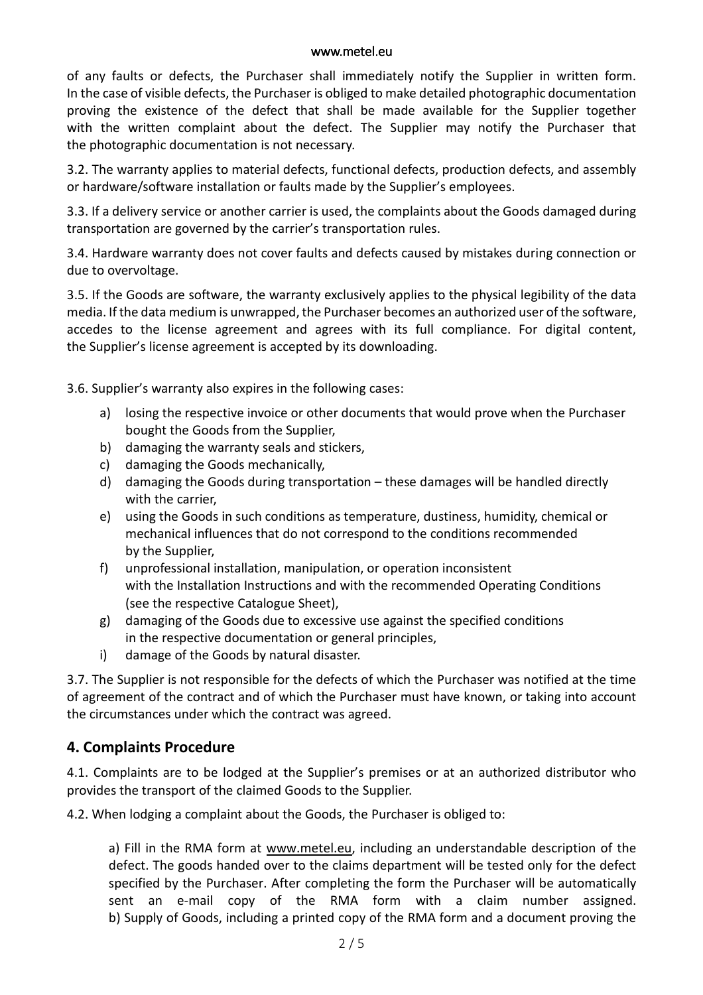#### www.metel.eu

of any faults or defects, the Purchaser shall immediately notify the Supplier in written form. In the case of visible defects, the Purchaser is obliged to make detailed photographic documentation proving the existence of the defect that shall be made available for the Supplier together with the written complaint about the defect. The Supplier may notify the Purchaser that the photographic documentation is not necessary.

3.2. The warranty applies to material defects, functional defects, production defects, and assembly or hardware/software installation or faults made by the Supplier's employees.

3.3. If a delivery service or another carrier is used, the complaints about the Goods damaged during transportation are governed by the carrier's transportation rules.

3.4. Hardware warranty does not cover faults and defects caused by mistakes during connection or due to overvoltage.

3.5. If the Goods are software, the warranty exclusively applies to the physical legibility of the data media. If the data medium is unwrapped, the Purchaser becomes an authorized user of the software, accedes to the license agreement and agrees with its full compliance. For digital content, the Supplier's license agreement is accepted by its downloading.

3.6. Supplier's warranty also expires in the following cases:

- a) losing the respective invoice or other documents that would prove when the Purchaser bought the Goods from the Supplier,
- b) damaging the warranty seals and stickers,
- c) damaging the Goods mechanically,
- d) damaging the Goods during transportation these damages will be handled directly with the carrier,
- e) using the Goods in such conditions as temperature, dustiness, humidity, chemical or mechanical influences that do not correspond to the conditions recommended by the Supplier,
- f) unprofessional installation, manipulation, or operation inconsistent with the Installation Instructions and with the recommended Operating Conditions (see the respective Catalogue Sheet),
- g) damaging of the Goods due to excessive use against the specified conditions in the respective documentation or general principles,
- i) damage of the Goods by natural disaster.

3.7. The Supplier is not responsible for the defects of which the Purchaser was notified at the time of agreement of the contract and of which the Purchaser must have known, or taking into account the circumstances under which the contract was agreed.

## **4. Complaints Procedure**

4.1. Complaints are to be lodged at the Supplier's premises or at an authorized distributor who provides the transport of the claimed Goods to the Supplier.

4.2. When lodging a complaint about the Goods, the Purchaser is obliged to:

a) Fill in the RMA form at www.metel.eu, including an understandable description of the defect. The goods handed over to the claims department will be tested only for the defect specified by the Purchaser. After completing the form the Purchaser will be automatically sent an e-mail copy of the RMA form with a claim number assigned. b) Supply of Goods, including a printed copy of the RMA form and a document proving the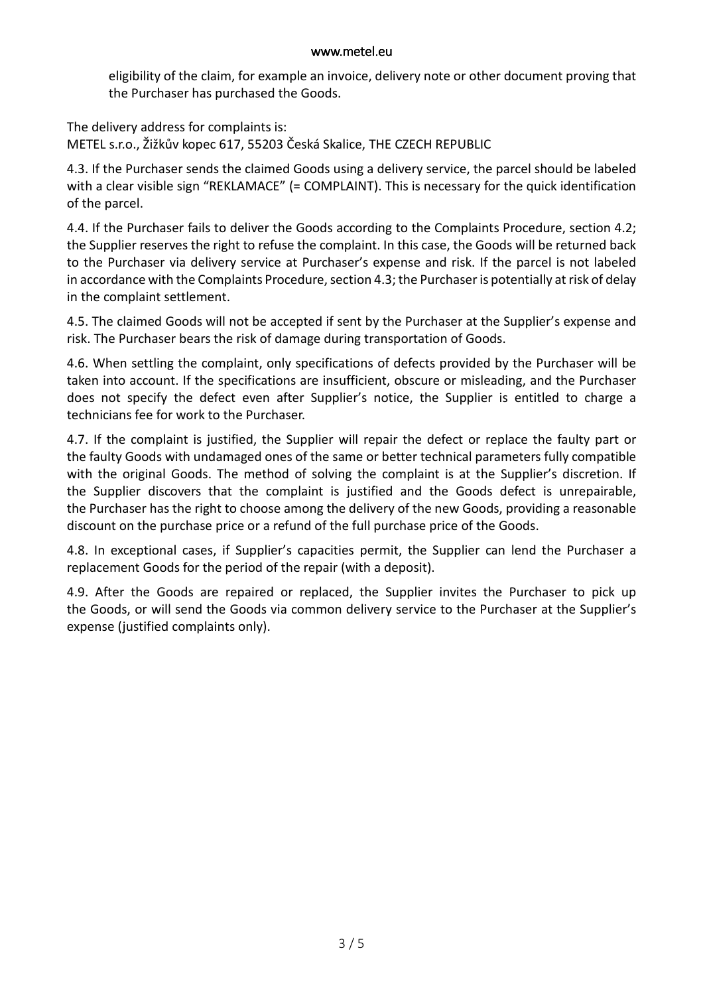#### www.metel.eu

eligibility of the claim, for example an invoice, delivery note or other document proving that the Purchaser has purchased the Goods.

The delivery address for complaints is: METEL s.r.o., Žižkův kopec 617, 55203 Česká Skalice, THE CZECH REPUBLIC

4.3. If the Purchaser sends the claimed Goods using a delivery service, the parcel should be labeled with a clear visible sign "REKLAMACE" (= COMPLAINT). This is necessary for the quick identification of the parcel.

4.4. If the Purchaser fails to deliver the Goods according to the Complaints Procedure, section 4.2; the Supplier reserves the right to refuse the complaint. In this case, the Goods will be returned back to the Purchaser via delivery service at Purchaser's expense and risk. If the parcel is not labeled in accordance with the Complaints Procedure, section 4.3; the Purchaser is potentially at risk of delay in the complaint settlement.

4.5. The claimed Goods will not be accepted if sent by the Purchaser at the Supplier's expense and risk. The Purchaser bears the risk of damage during transportation of Goods.

4.6. When settling the complaint, only specifications of defects provided by the Purchaser will be taken into account. If the specifications are insufficient, obscure or misleading, and the Purchaser does not specify the defect even after Supplier's notice, the Supplier is entitled to charge a technicians fee for work to the Purchaser.

4.7. If the complaint is justified, the Supplier will repair the defect or replace the faulty part or the faulty Goods with undamaged ones of the same or better technical parameters fully compatible with the original Goods. The method of solving the complaint is at the Supplier's discretion. If the Supplier discovers that the complaint is justified and the Goods defect is unrepairable, the Purchaser has the right to choose among the delivery of the new Goods, providing a reasonable discount on the purchase price or a refund of the full purchase price of the Goods.

4.8. In exceptional cases, if Supplier's capacities permit, the Supplier can lend the Purchaser a replacement Goods for the period of the repair (with a deposit).

4.9. After the Goods are repaired or replaced, the Supplier invites the Purchaser to pick up the Goods, or will send the Goods via common delivery service to the Purchaser at the Supplier's expense (justified complaints only).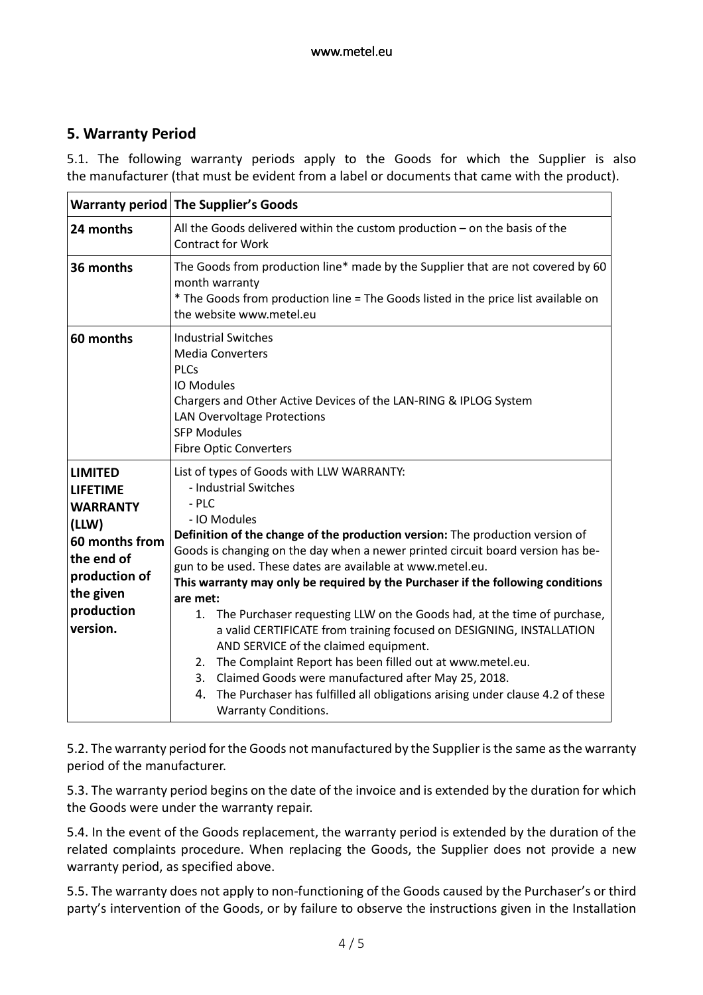# **5. Warranty Period**

5.1. The following warranty periods apply to the Goods for which the Supplier is also the manufacturer (that must be evident from a label or documents that came with the product).

|                                                                                                                                                       | <b>Warranty period The Supplier's Goods</b>                                                                                                                                                                                                                                                                                                                                                                                                                                                                                                                                                                                                                                                         |  |
|-------------------------------------------------------------------------------------------------------------------------------------------------------|-----------------------------------------------------------------------------------------------------------------------------------------------------------------------------------------------------------------------------------------------------------------------------------------------------------------------------------------------------------------------------------------------------------------------------------------------------------------------------------------------------------------------------------------------------------------------------------------------------------------------------------------------------------------------------------------------------|--|
| 24 months                                                                                                                                             | All the Goods delivered within the custom production $-$ on the basis of the<br><b>Contract for Work</b>                                                                                                                                                                                                                                                                                                                                                                                                                                                                                                                                                                                            |  |
| 36 months                                                                                                                                             | The Goods from production line* made by the Supplier that are not covered by 60<br>month warranty<br>* The Goods from production line = The Goods listed in the price list available on<br>the website www.metel.eu                                                                                                                                                                                                                                                                                                                                                                                                                                                                                 |  |
| 60 months                                                                                                                                             | <b>Industrial Switches</b><br><b>Media Converters</b><br><b>PLCs</b><br>IO Modules<br>Chargers and Other Active Devices of the LAN-RING & IPLOG System<br><b>LAN Overvoltage Protections</b><br><b>SFP Modules</b><br><b>Fibre Optic Converters</b>                                                                                                                                                                                                                                                                                                                                                                                                                                                 |  |
| <b>LIMITED</b><br><b>LIFETIME</b><br><b>WARRANTY</b><br>(LLW)<br>60 months from<br>the end of<br>production of<br>the given<br>production<br>version. | List of types of Goods with LLW WARRANTY:<br>- Industrial Switches<br>$-$ PLC<br>- IO Modules<br>Definition of the change of the production version: The production version of<br>Goods is changing on the day when a newer printed circuit board version has be-<br>gun to be used. These dates are available at www.metel.eu.<br>This warranty may only be required by the Purchaser if the following conditions<br>are met:<br>The Purchaser requesting LLW on the Goods had, at the time of purchase,<br>1.<br>a valid CERTIFICATE from training focused on DESIGNING, INSTALLATION<br>AND SERVICE of the claimed equipment.<br>The Complaint Report has been filled out at www.metel.eu.<br>2. |  |
|                                                                                                                                                       | 3. Claimed Goods were manufactured after May 25, 2018.<br>The Purchaser has fulfilled all obligations arising under clause 4.2 of these<br>4.<br><b>Warranty Conditions.</b>                                                                                                                                                                                                                                                                                                                                                                                                                                                                                                                        |  |

5.2. The warranty period for the Goods not manufactured by the Supplier is the same as the warranty period of the manufacturer.

5.3. The warranty period begins on the date of the invoice and is extended by the duration for which the Goods were under the warranty repair.

5.4. In the event of the Goods replacement, the warranty period is extended by the duration of the related complaints procedure. When replacing the Goods, the Supplier does not provide a new warranty period, as specified above.

5.5. The warranty does not apply to non-functioning of the Goods caused by the Purchaser's or third party's intervention of the Goods, or by failure to observe the instructions given in the Installation